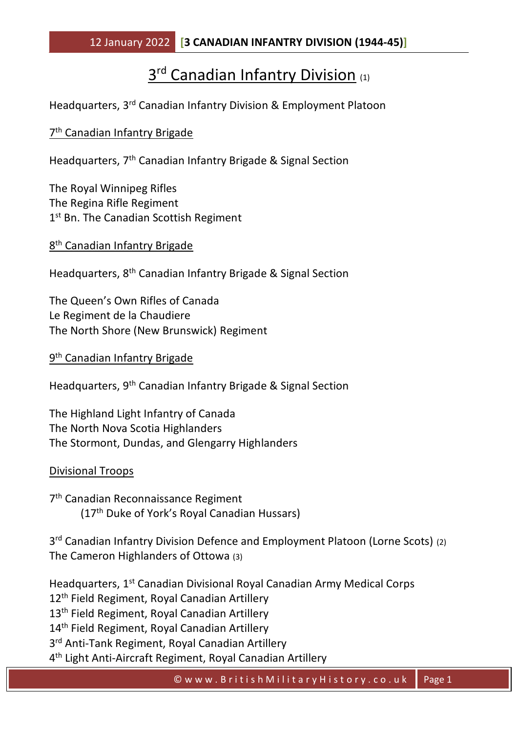# 3<sup>rd</sup> Canadian Infantry Division (1)

Headquarters, 3rd Canadian Infantry Division & Employment Platoon

## 7<sup>th</sup> Canadian Infantry Brigade

Headquarters, 7th Canadian Infantry Brigade & Signal Section

The Royal Winnipeg Rifles The Regina Rifle Regiment 1st Bn. The Canadian Scottish Regiment

8<sup>th</sup> Canadian Infantry Brigade

Headquarters, 8th Canadian Infantry Brigade & Signal Section

The Queen's Own Rifles of Canada Le Regiment de la Chaudiere The North Shore (New Brunswick) Regiment

9<sup>th</sup> Canadian Infantry Brigade

Headquarters, 9th Canadian Infantry Brigade & Signal Section

The Highland Light Infantry of Canada The North Nova Scotia Highlanders The Stormont, Dundas, and Glengarry Highlanders

Divisional Troops

7<sup>th</sup> Canadian Reconnaissance Regiment (17th Duke of York's Royal Canadian Hussars)

3<sup>rd</sup> Canadian Infantry Division Defence and Employment Platoon (Lorne Scots) (2) The Cameron Highlanders of Ottowa (3)

Headquarters, 1st Canadian Divisional Royal Canadian Army Medical Corps 12<sup>th</sup> Field Regiment, Royal Canadian Artillery 13<sup>th</sup> Field Regiment, Royal Canadian Artillery 14<sup>th</sup> Field Regiment, Royal Canadian Artillery 3<sup>rd</sup> Anti-Tank Regiment, Royal Canadian Artillery 4 th Light Anti-Aircraft Regiment, Royal Canadian Artillery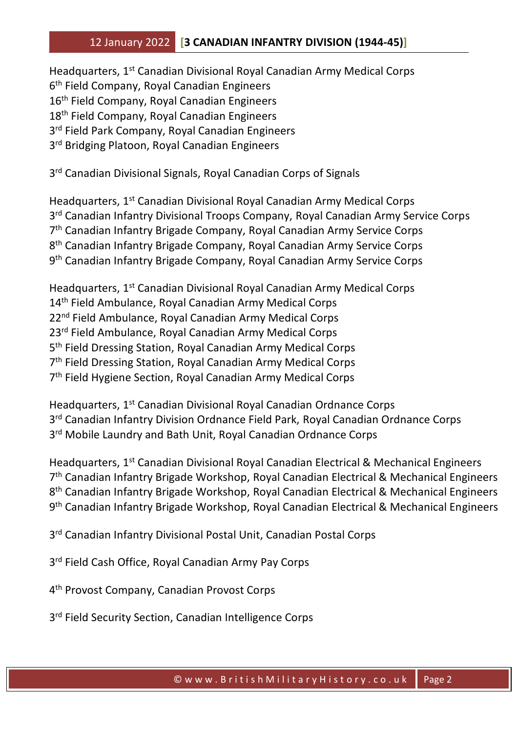## 12 January 2022 **[3 CANADIAN INFANTRY DIVISION (1944-45)]**

Headquarters, 1st Canadian Divisional Royal Canadian Army Medical Corps 6 th Field Company, Royal Canadian Engineers 16<sup>th</sup> Field Company, Royal Canadian Engineers 18<sup>th</sup> Field Company, Royal Canadian Engineers 3<sup>rd</sup> Field Park Company, Royal Canadian Engineers 3<sup>rd</sup> Bridging Platoon, Royal Canadian Engineers

3<sup>rd</sup> Canadian Divisional Signals, Royal Canadian Corps of Signals

Headquarters, 1<sup>st</sup> Canadian Divisional Royal Canadian Army Medical Corps 3<sup>rd</sup> Canadian Infantry Divisional Troops Company, Royal Canadian Army Service Corps 7<sup>th</sup> Canadian Infantry Brigade Company, Royal Canadian Army Service Corps 8 th Canadian Infantry Brigade Company, Royal Canadian Army Service Corps 9<sup>th</sup> Canadian Infantry Brigade Company, Royal Canadian Army Service Corps

Headquarters, 1st Canadian Divisional Royal Canadian Army Medical Corps 14<sup>th</sup> Field Ambulance, Royal Canadian Army Medical Corps 22<sup>nd</sup> Field Ambulance, Royal Canadian Army Medical Corps 23<sup>rd</sup> Field Ambulance, Royal Canadian Army Medical Corps 5<sup>th</sup> Field Dressing Station, Royal Canadian Army Medical Corps 7<sup>th</sup> Field Dressing Station, Royal Canadian Army Medical Corps 7 th Field Hygiene Section, Royal Canadian Army Medical Corps

Headquarters, 1st Canadian Divisional Royal Canadian Ordnance Corps 3<sup>rd</sup> Canadian Infantry Division Ordnance Field Park, Royal Canadian Ordnance Corps 3<sup>rd</sup> Mobile Laundry and Bath Unit, Royal Canadian Ordnance Corps

Headquarters, 1st Canadian Divisional Royal Canadian Electrical & Mechanical Engineers 7<sup>th</sup> Canadian Infantry Brigade Workshop, Royal Canadian Electrical & Mechanical Engineers 8 th Canadian Infantry Brigade Workshop, Royal Canadian Electrical & Mechanical Engineers 9<sup>th</sup> Canadian Infantry Brigade Workshop, Royal Canadian Electrical & Mechanical Engineers

3<sup>rd</sup> Canadian Infantry Divisional Postal Unit, Canadian Postal Corps

3<sup>rd</sup> Field Cash Office, Royal Canadian Army Pay Corps

4 th Provost Company, Canadian Provost Corps

3<sup>rd</sup> Field Security Section, Canadian Intelligence Corps